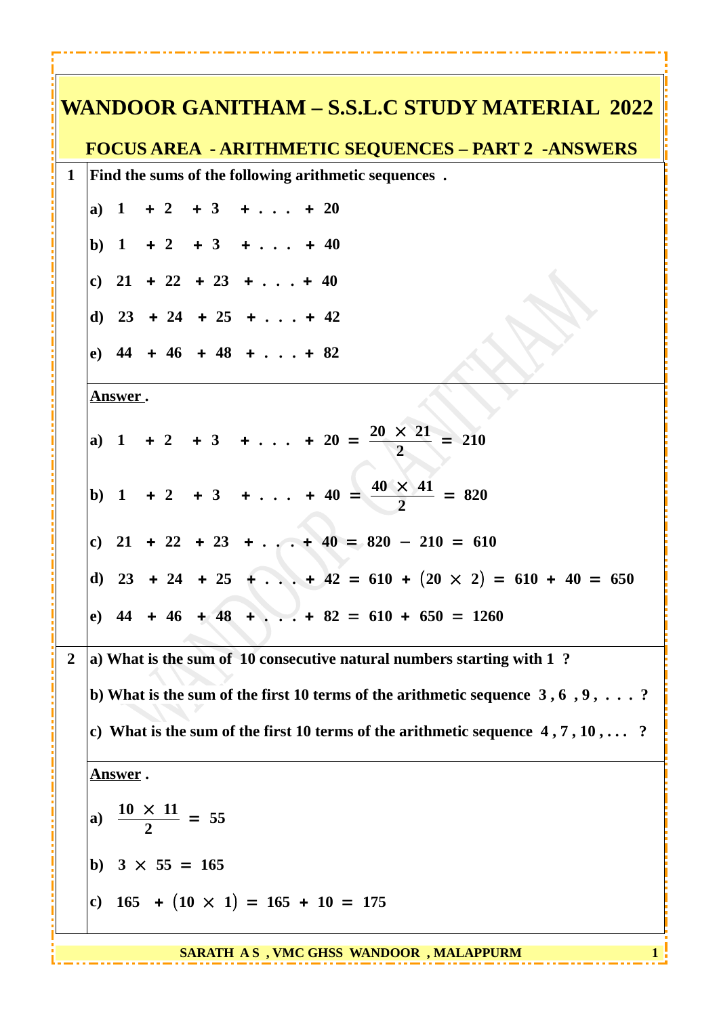|                | WANDOOR GANITHAM – S.S.L.C STUDY MATERIAL 2022                                           |
|----------------|------------------------------------------------------------------------------------------|
|                | <b>FOCUS AREA - ARITHMETIC SEQUENCES - PART 2 -ANSWERS</b>                               |
| $\mathbf{1}$   | Find the sums of the following arithmetic sequences.                                     |
|                | a) $1 + 2 + 3 + \ldots + 20$                                                             |
|                | b) $1 + 2 + 3 + \ldots + 40$                                                             |
|                | c) $21 + 22 + 23 + \ldots + 40$                                                          |
|                | d) $23 + 24 + 25 + \ldots + 42$                                                          |
|                | e) $44 + 46 + 48 + \ldots + 82$                                                          |
|                | Answer.                                                                                  |
|                | a) 1 + 2 + 3 + + 20 = $\frac{20 \times 21}{2}$ = 210                                     |
|                | b) 1 + 2 + 3 + + 40 = $\frac{40 \times 41}{2}$ = 820                                     |
|                | c) $21 + 22 + 23 +  + 40 = 820 - 210 = 610$                                              |
|                | d) $23 + 24 + 25 +  + 42 = 610 + (20 \times 2) = 610 + 40 = 650$                         |
|                | e) $44 + 46 + 48 + \ldots + 82 = 610 + 650 = 1260$                                       |
| $\overline{2}$ | a) What is the sum of 10 consecutive natural numbers starting with 1?                    |
|                | b) What is the sum of the first 10 terms of the arithmetic sequence $3, 6, 9, \ldots$ ?  |
|                | c) What is the sum of the first 10 terms of the arithmetic sequence $4, 7, 10, \ldots$ ? |
|                | <b>Answer</b> .                                                                          |
|                | a) $\frac{10 \times 11}{2} = 55$                                                         |
|                | b) $3 \times 55 = 165$                                                                   |
|                | c) $165 + (10 \times 1) = 165 + 10 = 175$                                                |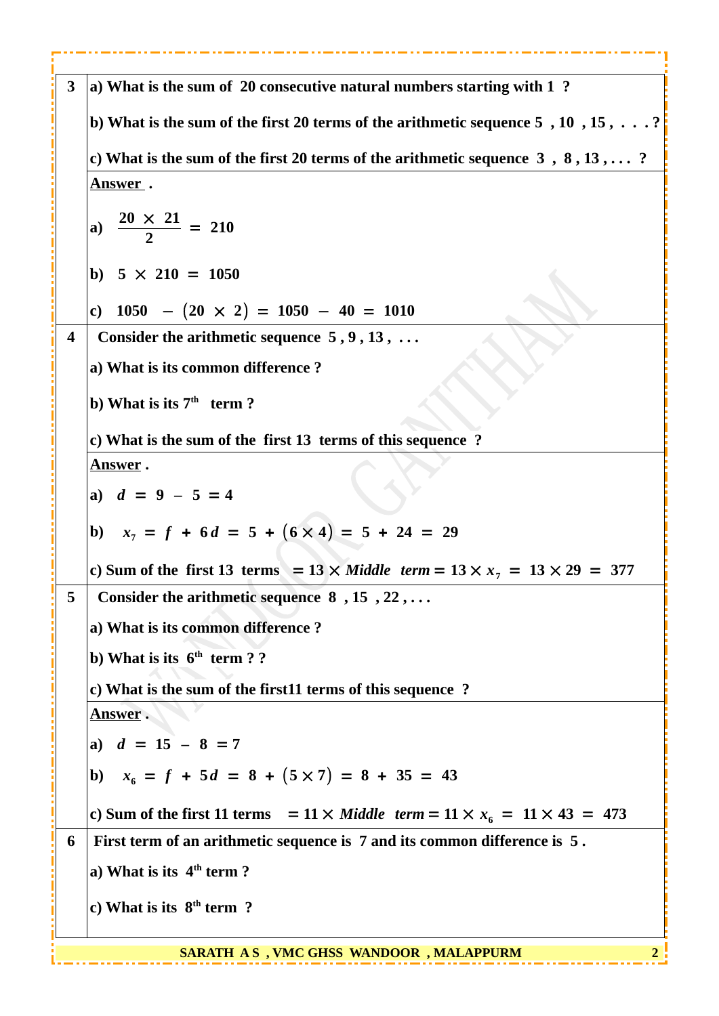| 3 | a) What is the sum of 20 consecutive natural numbers starting with 1 ?                        |
|---|-----------------------------------------------------------------------------------------------|
|   | b) What is the sum of the first 20 terms of the arithmetic sequence $5, 10, 15, \ldots$ ?     |
|   | c) What is the sum of the first 20 terms of the arithmetic sequence $3, 8, 13, \ldots$ ?      |
|   | <u>Answer</u> .                                                                               |
|   | a) $\frac{20 \times 21}{2} = 210$                                                             |
|   | b) $5 \times 210 = 1050$                                                                      |
|   | c) $1050 - (20 \times 2) = 1050 - 40 = 1010$                                                  |
| 4 | Consider the arithmetic sequence $5, 9, 13, $                                                 |
|   | a) What is its common difference?                                                             |
|   | b) What is its $7th$ term ?                                                                   |
|   | c) What is the sum of the first 13 terms of this sequence ?                                   |
|   | <u>Answer</u> .                                                                               |
|   | a) $d = 9 - 5 = 4$                                                                            |
|   | b) $x_7 = f + 6d = 5 + (6 \times 4) = 5 + 24 = 29$                                            |
|   | c) Sum of the first 13 terms = $13 \times$ Middle term = $13 \times x_7 = 13 \times 29 = 377$ |
| 5 | Consider the arithmetic sequence $8, 15, 22, \ldots$                                          |
|   | a) What is its common difference?                                                             |
|   | b) What is its $6th$ term ? ?                                                                 |
|   | c) What is the sum of the first11 terms of this sequence ?                                    |
|   | <b>Answer</b> .                                                                               |
|   | a) $d = 15 - 8 = 7$                                                                           |
|   | $x_6 = f + 5d = 8 + (5 \times 7) = 8 + 35 = 43$<br>b)                                         |
|   | c) Sum of the first 11 terms = $11 \times$ Middle term = $11 \times x_6 = 11 \times 43 = 473$ |
| 6 | First term of an arithmetic sequence is 7 and its common difference is 5.                     |
|   | a) What is its $4th$ term ?                                                                   |
|   | c) What is its $8th$ term ?                                                                   |
|   | SARATH AS, VMC GHSS WANDOOR, MALAPPURM                                                        |
|   |                                                                                               |

----------------------------

. . .

*<u>A A AM A A AM A A AM A A A</u>* 

- - 4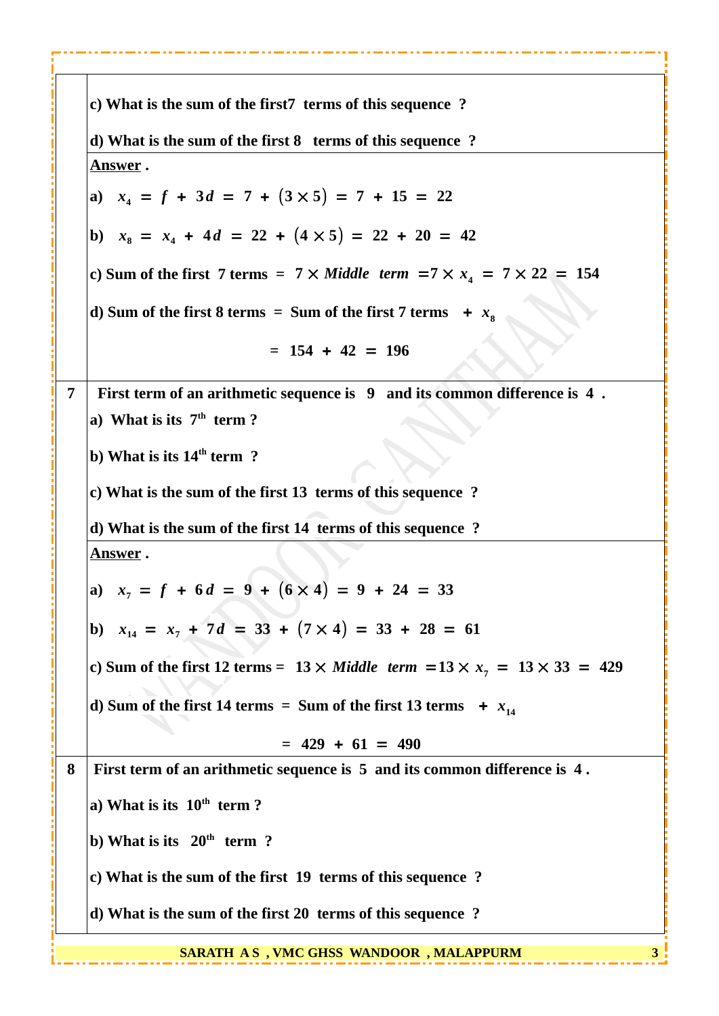|                | c) What is the sum of the first7 terms of this sequence ?                                     |
|----------------|-----------------------------------------------------------------------------------------------|
|                | d) What is the sum of the first 8 terms of this sequence ?                                    |
|                | <u>Answer</u> .                                                                               |
|                | a) $x_4 = f + 3d = 7 + (3 \times 5) = 7 + 15 = 22$                                            |
|                | b) $x_8 = x_4 + 4d = 22 + (4 \times 5) = 22 + 20 = 42$                                        |
|                | c) Sum of the first 7 terms = $7 \times$ Middle term = $7 \times x_4$ = $7 \times 22$ = 154   |
|                | d) Sum of the first 8 terms = Sum of the first 7 terms $+ x8$                                 |
|                | $= 154 + 42 = 196$                                                                            |
| $\overline{7}$ | First term of an arithmetic sequence is 9 and its common difference is 4.                     |
|                | a) What is its $7th$ term ?                                                                   |
|                | b) What is its $14th$ term ?                                                                  |
|                | c) What is the sum of the first 13 terms of this sequence ?                                   |
|                | d) What is the sum of the first 14 terms of this sequence ?                                   |
|                | <u>Answer</u> .                                                                               |
|                | a) $x_7 = f + 6d = 9 + (6 \times 4) = 9 + 24 = 33$                                            |
|                | b) $x_{14} = x_7 + 7d = 33 + (7 \times 4) = 33 + 28 = 61$                                     |
|                | c) Sum of the first 12 terms = $13 \times$ Middle term = $13 \times x_7 = 13 \times 33 = 429$ |
|                | d) Sum of the first 14 terms = Sum of the first 13 terms $+ x_{14}$                           |
|                | $= 429 + 61 = 490$                                                                            |
| 8              | First term of an arithmetic sequence is 5 and its common difference is 4.                     |
|                | a) What is its $10th$ term ?                                                                  |
|                | b) What is its $20th$ term ?                                                                  |
|                | c) What is the sum of the first 19 terms of this sequence ?                                   |
|                | d) What is the sum of the first 20 terms of this sequence?                                    |
|                | SARATH AS, VMC GHSS WANDOOR, MALAPPURM                                                        |

. . . . . . . .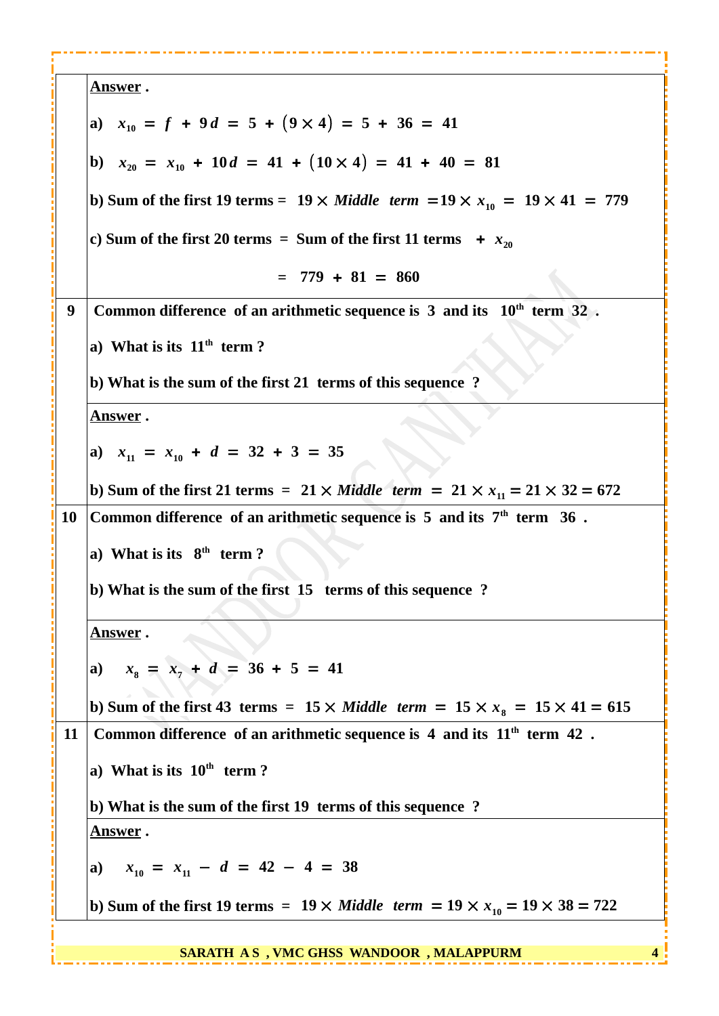|    | <u>Answer</u> .                                                                                  |
|----|--------------------------------------------------------------------------------------------------|
|    | a) $x_{10} = f + 9d = 5 + (9 \times 4) = 5 + 36 = 41$                                            |
|    | b) $x_{20} = x_{10} + 10d = 41 + (10 \times 4) = 41 + 40 = 81$                                   |
|    | b) Sum of the first 19 terms = $19 \times$ Middle term = $19 \times x_{10} = 19 \times 41 = 779$ |
|    | c) Sum of the first 20 terms = Sum of the first 11 terms $+ x_{20}$                              |
|    | $= 779 + 81 = 860$                                                                               |
| 9  | Common difference of an arithmetic sequence is 3 and its $10th$ term 32.                         |
|    | a) What is its $11th$ term?                                                                      |
|    | b) What is the sum of the first 21 terms of this sequence?                                       |
|    | <u>Answer</u> .                                                                                  |
|    | a) $x_{11} = x_{10} + d = 32 + 3 = 35$                                                           |
|    | b) Sum of the first 21 terms = $21 \times$ Middle term = $21 \times x_{11} = 21 \times 32 = 672$ |
| 10 | Common difference of an arithmetic sequence is $5$ and its $7th$ term $36$ .                     |
|    | a) What is its $8th$ term?                                                                       |
|    | b) What is the sum of the first 15 terms of this sequence?                                       |
|    | <b>Answer</b> .                                                                                  |
|    | a) $x_8 = x_7 + d = 36 + 5 = 41$                                                                 |
|    | b) Sum of the first 43 terms = $15 \times$ Middle term = $15 \times x_8 = 15 \times 41 = 615$    |
| 11 | Common difference of an arithmetic sequence is $4$ and its $11th$ term $42$ .                    |
|    | a) What is its $10th$ term?                                                                      |
|    | b) What is the sum of the first 19 terms of this sequence?                                       |
|    | <u>Answer</u> .                                                                                  |
|    | a) $x_{10} = x_{11} - d = 42 - 4 = 38$                                                           |
|    | b) Sum of the first 19 terms = $19 \times$ Middle term = $19 \times x_{10} = 19 \times 38 = 722$ |
|    |                                                                                                  |

. . . . . . . .

- - -

 **SARATH A S , VMC GHSS WANDOOR , MALAPPURM 4**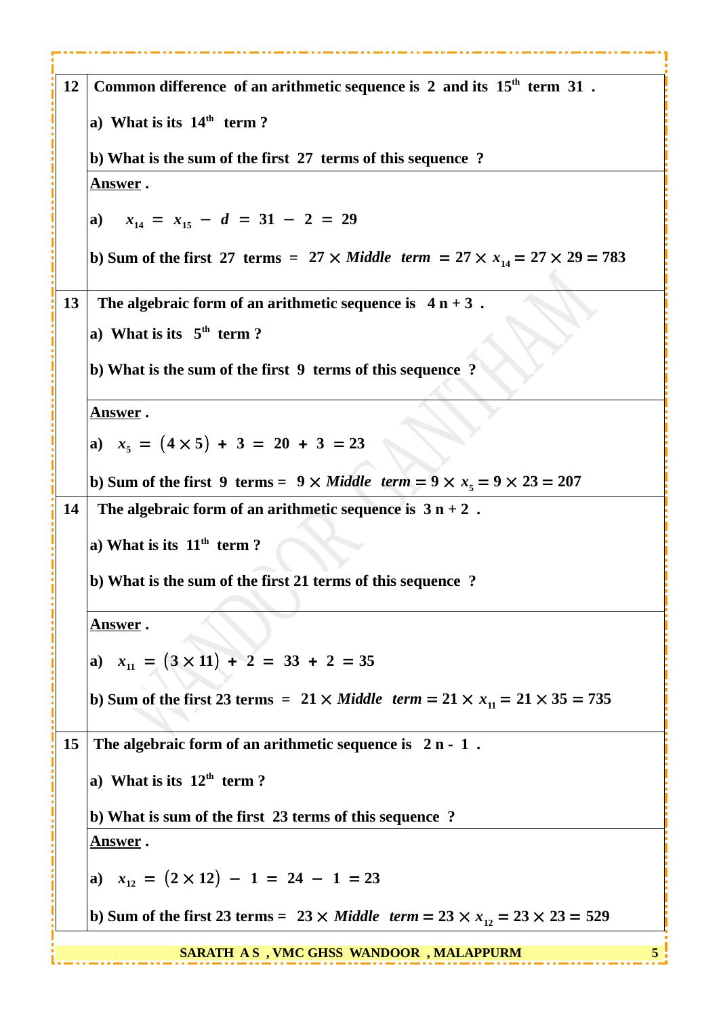| 12 | Common difference of an arithmetic sequence is $2$ and its $15th$ term $31$ .                    |
|----|--------------------------------------------------------------------------------------------------|
|    | a) What is its $14th$ term?                                                                      |
|    | b) What is the sum of the first 27 terms of this sequence ?                                      |
|    | <u>Answer</u> .                                                                                  |
|    | a) $x_{14} = x_{15} - d = 31 - 2 = 29$                                                           |
|    | b) Sum of the first 27 terms = 27 $\times$ Middle term = 27 $\times x_{14} = 27 \times 29 = 783$ |
| 13 | The algebraic form of an arithmetic sequence is $4n + 3$ .                                       |
|    | a) What is its $5th$ term?                                                                       |
|    | b) What is the sum of the first 9 terms of this sequence ?                                       |
|    | <u>Answer</u> .                                                                                  |
|    | a) $x_5 = (4 \times 5) + 3 = 20 + 3 = 23$                                                        |
|    | b) Sum of the first 9 terms = $9 \times$ Middle term = $9 \times x_5 = 9 \times 23 = 207$        |
| 14 | The algebraic form of an arithmetic sequence is $3n + 2$ .                                       |
|    | a) What is its $11th$ term ?                                                                     |
|    | b) What is the sum of the first 21 terms of this sequence?                                       |
|    | <u>Answer</u> .                                                                                  |
|    | a) $x_{11} = (3 \times 11) + 2 = 33 + 2 = 35$                                                    |
|    |                                                                                                  |
|    | b) Sum of the first 23 terms = $21 \times$ Middle term = $21 \times x_{11} = 21 \times 35 = 735$ |
| 15 | The algebraic form of an arithmetic sequence is $2n - 1$ .                                       |
|    | a) What is its $12th$ term?                                                                      |
|    | b) What is sum of the first 23 terms of this sequence ?                                          |
|    | <u>Answer</u> .                                                                                  |
|    | a) $x_{12} = (2 \times 12) - 1 = 24 - 1 = 23$                                                    |
|    | b) Sum of the first 23 terms = $23 \times$ Middle term = $23 \times x_{12} = 23 \times 23 = 529$ |
|    | <b>SARATH AS, VMC GHSS WANDOOR, MALAPPURM</b>                                                    |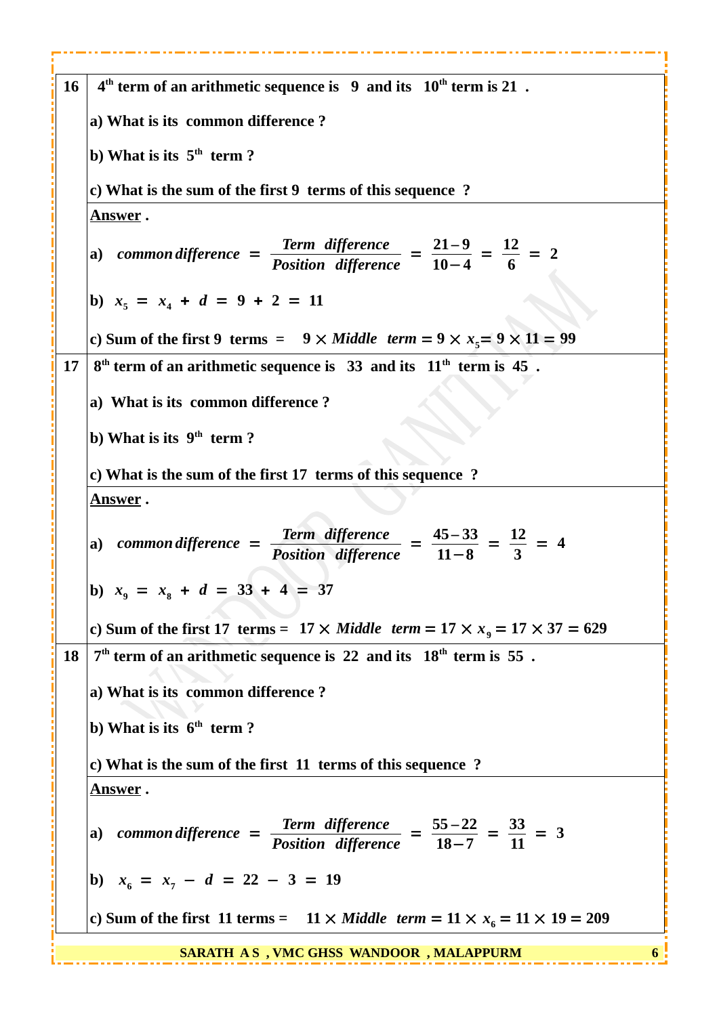| 16        | $4th$ term of an arithmetic sequence is 9 and its $10th$ term is 21.                                                        |
|-----------|-----------------------------------------------------------------------------------------------------------------------------|
|           | a) What is its common difference?                                                                                           |
|           | b) What is its $5th$ term ?                                                                                                 |
|           | c) What is the sum of the first 9 terms of this sequence?                                                                   |
|           | <u>Answer</u> .                                                                                                             |
|           | a) common difference = $\frac{\text{Term difference}}{\text{Position difference}} = \frac{21-9}{10-4} = \frac{12}{6} = 2$   |
|           | b) $x_5 = x_4 + d = 9 + 2 = 11$                                                                                             |
|           | c) Sum of the first 9 terms = $9 \times$ Middle term = $9 \times x_5 = 9 \times 11 = 99$                                    |
| 17        | $8th$ term of an arithmetic sequence is 33 and its $11th$ term is 45.                                                       |
|           | a) What is its common difference?                                                                                           |
|           | b) What is its $9th$ term ?                                                                                                 |
|           | c) What is the sum of the first 17 terms of this sequence ?                                                                 |
|           | <u>Answer</u> .                                                                                                             |
|           | a) common difference = $\frac{\text{Term difference}}{\text{Position difference}} = \frac{45-33}{11-8} = \frac{12}{3} = 4$  |
|           | b) $x_9 = x_8 + d = 33 + 4 = 37$                                                                                            |
|           | c) Sum of the first 17 terms = $17 \times$ Middle term = $17 \times x9$ = $17 \times 37 = 629$                              |
| <b>18</b> | $7th$ term of an arithmetic sequence is 22 and its $18th$ term is 55.                                                       |
|           | a) What is its common difference?                                                                                           |
|           | b) What is its $6th$ term ?                                                                                                 |
|           | c) What is the sum of the first 11 terms of this sequence?                                                                  |
|           | <u>Answer</u> .                                                                                                             |
|           | a) common difference = $\frac{\text{Term difference}}{\text{Position difference}} = \frac{55-22}{18-7} = \frac{33}{11} = 3$ |
|           | b) $x_6 = x_7 - d = 22 - 3 = 19$                                                                                            |
|           | c) Sum of the first 11 terms = $11 \times$ Middle term = $11 \times x_6 = 11 \times 19 = 209$                               |
|           | <b>SARATH AS, VMC GHSS WANDOOR, MALAPPURM</b>                                                                               |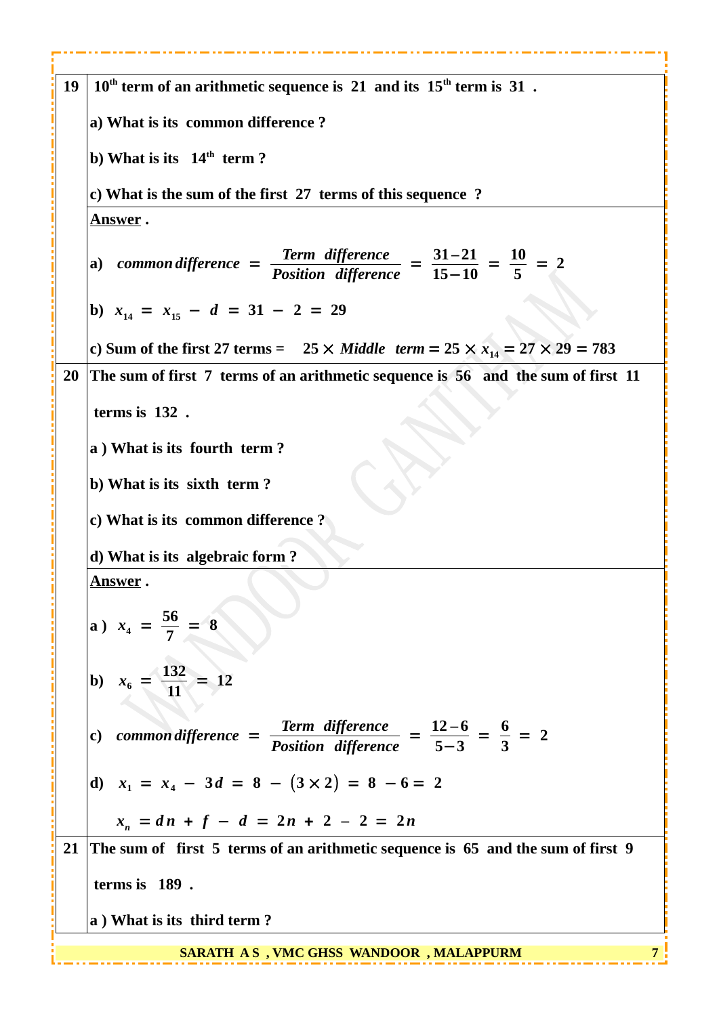| 19 | $10th$ term of an arithmetic sequence is 21 and its $15th$ term is 31.                                                      |
|----|-----------------------------------------------------------------------------------------------------------------------------|
|    | a) What is its common difference?                                                                                           |
|    | b) What is its 14 <sup>th</sup> term?                                                                                       |
|    | c) What is the sum of the first 27 terms of this sequence?                                                                  |
|    | <u>Answer</u> .                                                                                                             |
|    | a) common difference = $\frac{\text{Term difference}}{\text{Position difference}} = \frac{31-21}{15-10} = \frac{10}{5} = 2$ |
|    | b) $x_{14} = x_{15} - d = 31 - 2 = 29$                                                                                      |
|    | c) Sum of the first 27 terms = $25 \times$ Middle term = $25 \times x_{14} = 27 \times 29 = 783$                            |
| 20 | The sum of first 7 terms of an arithmetic sequence is 56 and the sum of first 11                                            |
|    | terms is 132.                                                                                                               |
|    | a) What is its fourth term?                                                                                                 |
|    | b) What is its sixth term?                                                                                                  |
|    | c) What is its common difference?                                                                                           |
|    | d) What is its algebraic form?                                                                                              |
|    | <u>Answer</u> .                                                                                                             |
|    | a) $x_4 = \frac{56}{7} = 8$                                                                                                 |
|    | <b>b</b> ) $x_6 = \frac{132}{11} = 12$                                                                                      |
|    | c) common difference = $\frac{\text{Term difference}}{\text{Position difference}} = \frac{12-6}{5-3} = \frac{6}{3} = 2$     |
|    | d) $x_1 = x_4 - 3d = 8 - (3 \times 2) = 8 - 6 = 2$                                                                          |
|    | $x_n = dn + f - d = 2n + 2 - 2 = 2n$                                                                                        |
| 21 | The sum of first 5 terms of an arithmetic sequence is 65 and the sum of first 9                                             |
|    | terms is 189.                                                                                                               |
|    | a) What is its third term?                                                                                                  |
|    |                                                                                                                             |

----

a s

---------

in g

 **SARATH A S , VMC GHSS WANDOOR , MALAPPURM 7**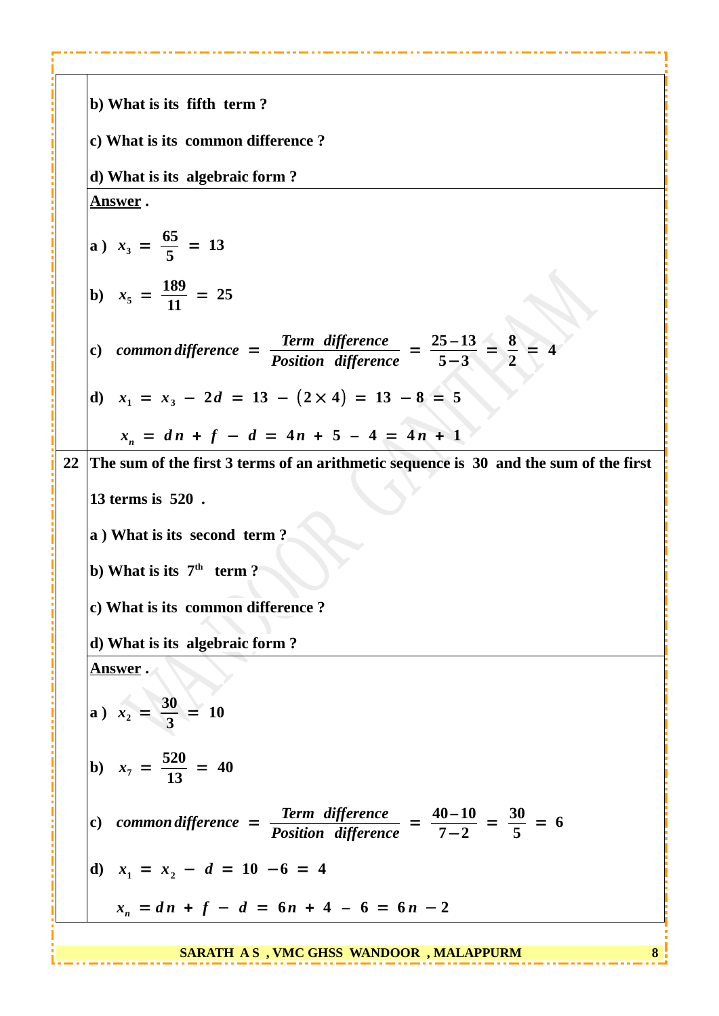|    | b) What is its fifth term?                                                                                                   |
|----|------------------------------------------------------------------------------------------------------------------------------|
|    | c) What is its common difference?                                                                                            |
|    | d) What is its algebraic form?                                                                                               |
|    | <u>Answer</u> .                                                                                                              |
|    | a) $x_3 = \frac{65}{5} = 13$                                                                                                 |
|    | b) $x_5 = \frac{189}{11} = 25$                                                                                               |
|    | common difference = $\frac{\text{Term difference}}{\text{Position difference}} = \frac{25-13}{5-3} = \frac{8}{2}$<br>c)      |
|    | d) $x_1 = x_3 - 2d = 13 - (2 \times 4) = 13 - 8 = 5$                                                                         |
|    | $x_n = dn + f - d = 4n + 5 - 4 = 4n + 1$                                                                                     |
| 22 | The sum of the first 3 terms of an arithmetic sequence is $30$ and the sum of the first                                      |
|    | 13 terms is 520.                                                                                                             |
|    | a) What is its second term?                                                                                                  |
|    | b) What is its $7th$ term ?                                                                                                  |
|    | c) What is its common difference ?                                                                                           |
|    | d) What is its algebraic form?                                                                                               |
|    | <u>Answer</u> .                                                                                                              |
|    | a) $x_2 = \frac{30}{3} = 10$                                                                                                 |
|    | b) $x_7 = \frac{520}{13} = 40$                                                                                               |
|    | common difference = $\frac{\text{Term difference}}{\text{Position difference}} = \frac{40-10}{7-2} = \frac{30}{5} = 6$<br>c) |
|    | d) $x_1 = x_2 - d = 10 - 6 = 4$                                                                                              |
|    | $x_n = dn + f - d = 6n + 4 - 6 = 6n - 2$                                                                                     |

**A** H

×,

11

...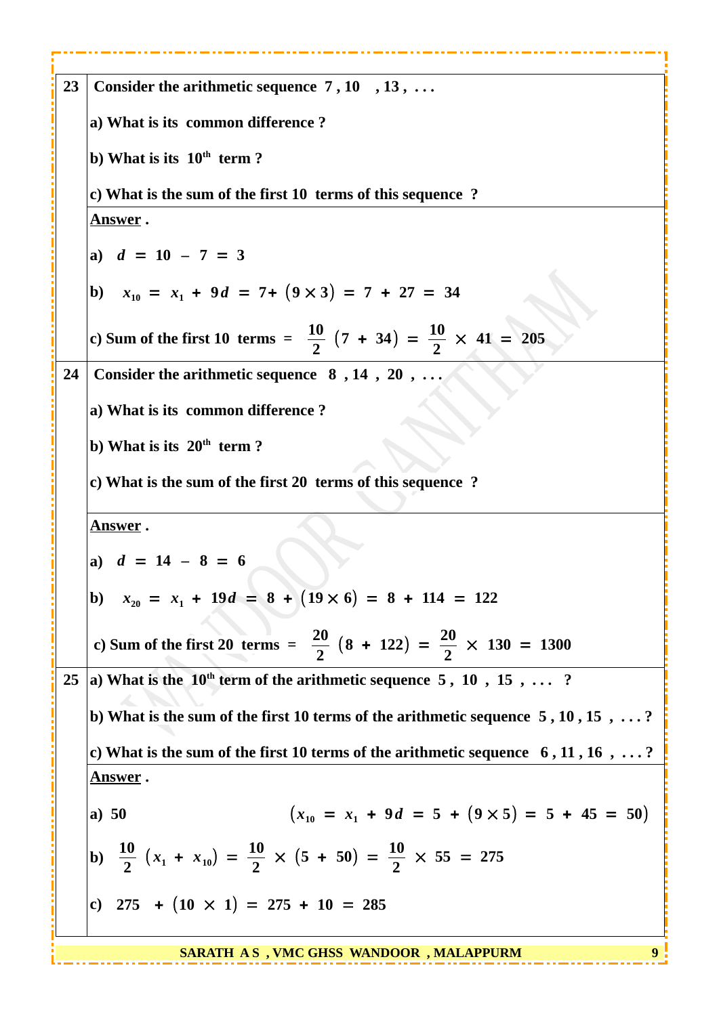| 23 | Consider the arithmetic sequence $7, 10, 13, $                                                                |
|----|---------------------------------------------------------------------------------------------------------------|
|    | a) What is its common difference?                                                                             |
|    | b) What is its $10th$ term ?                                                                                  |
|    | c) What is the sum of the first 10 terms of this sequence ?                                                   |
|    | <u>Answer</u> .                                                                                               |
|    | a) $d = 10 - 7 = 3$                                                                                           |
|    | b) $x_{10} = x_1 + 9d = 7 + (9 \times 3) = 7 + 27 = 34$                                                       |
|    | c) Sum of the first 10 terms = $\frac{10}{2}$ (7 + 34) = $\frac{10}{2}$ × 41 = 205                            |
| 24 | Consider the arithmetic sequence $8, 14, 20, \ldots$                                                          |
|    | a) What is its common difference?                                                                             |
|    | b) What is its $20th$ term?                                                                                   |
|    | c) What is the sum of the first 20 terms of this sequence ?                                                   |
|    | <u>Answer</u> .                                                                                               |
|    | a) $d = 14 - 8 = 6$                                                                                           |
|    | b) $x_{20} = x_1 + 19d = 8 + (19 \times 6) = 8 + 114 = 122$                                                   |
|    |                                                                                                               |
|    | c) Sum of the first 20 terms = $\frac{20}{2}$ (8 + 122) = $\frac{20}{2}$ × 130 = 1300                         |
| 25 | a) What is the $10^{th}$ term of the arithmetic sequence $5, 10, 15, \ldots$ ?                                |
|    | b) What is the sum of the first 10 terms of the arithmetic sequence $5, 10, 15, \ldots$ ?                     |
|    | c) What is the sum of the first 10 terms of the arithmetic sequence $6, 11, 16, \ldots$ ?                     |
|    | <u>Answer</u> .                                                                                               |
|    |                                                                                                               |
|    | $(x_{10} = x_1 + 9d = 5 + (9 \times 5) = 5 + 45 = 50)$<br>a) $50$                                             |
|    | b) $\frac{10}{2}$ (x <sub>1</sub> + x <sub>10</sub> ) = $\frac{10}{2}$ × (5 + 50) = $\frac{10}{2}$ × 55 = 275 |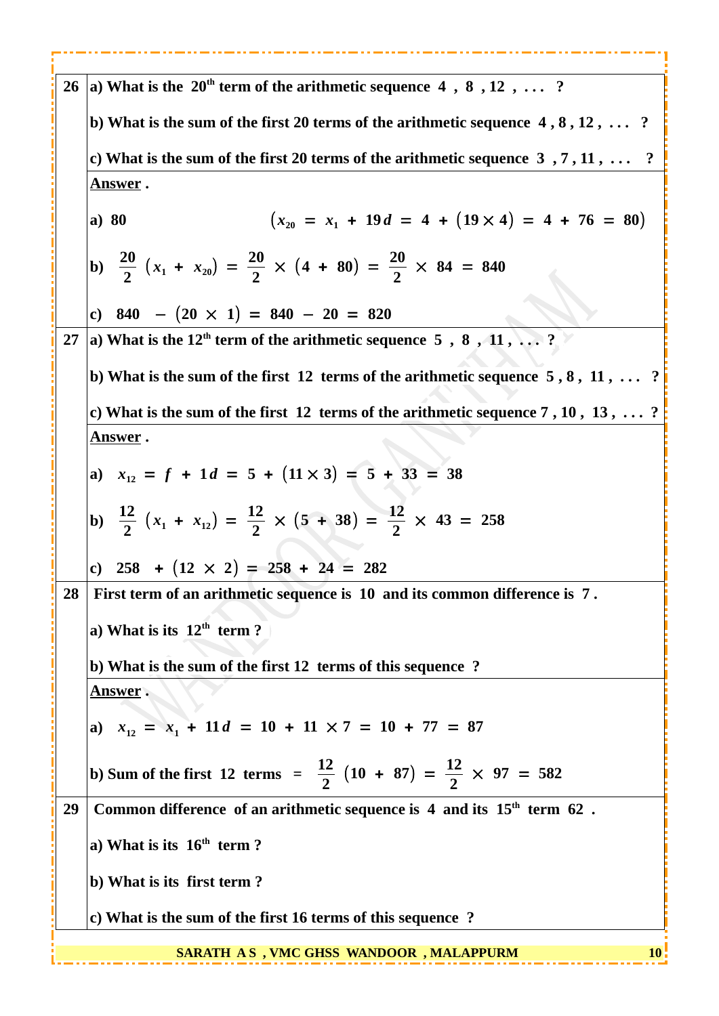| 26 | a) What is the $20th$ term of the arithmetic sequence 4, 8, 12,  ?                             |
|----|------------------------------------------------------------------------------------------------|
|    | b) What is the sum of the first 20 terms of the arithmetic sequence $4, 8, 12, \ldots$ ?       |
|    | c) What is the sum of the first 20 terms of the arithmetic sequence $3, 7, 11, \ldots$ ?       |
|    | <u>Answer</u> .                                                                                |
|    | $(x_{20} = x_1 + 19d = 4 + (19 \times 4) = 4 + 76 = 80)$<br>a) 80                              |
|    | (b) $\frac{20}{2}(x_1 + x_{20}) = \frac{20}{2} \times (4 + 80) = \frac{20}{2} \times 84 = 840$ |
|    | c) 840 - $(20 \times 1) = 840 - 20 = 820$                                                      |
| 27 | a) What is the 12 <sup>th</sup> term of the arithmetic sequence $5, 8, 11, \ldots$ ?           |
|    | b) What is the sum of the first 12 terms of the arithmetic sequence $5, 8, 11, \ldots$ ?       |
|    | c) What is the sum of the first 12 terms of the arithmetic sequence $7, 10, 13, \ldots$ ?      |
|    | <u>Answer</u> .                                                                                |
|    | a) $x_{12} = f + 1d = 5 + (11 \times 3) = 5 + 33 = 38$                                         |
|    | b) $\frac{12}{2}(x_1 + x_1) = \frac{12}{2} \times (5 + 38) = \frac{12}{2} \times 43 = 258$     |
|    | c) $258 + (12 \times 2) = 258 + 24 = 282$                                                      |
| 28 | First term of an arithmetic sequence is 10 and its common difference is 7.                     |
|    | a) What is its $12th$ term ?                                                                   |
|    | b) What is the sum of the first 12 terms of this sequence ?                                    |
|    | <b>Answer</b> .                                                                                |
|    | a) $x_{12} = x_1 + 11d = 10 + 11 \times 7 = 10 + 77 = 87$                                      |
|    |                                                                                                |
|    | b) Sum of the first 12 terms = $\frac{12}{2}$ (10 + 87) = $\frac{12}{2}$ $\times$ 97 = 582     |
| 29 | Common difference of an arithmetic sequence is $4$ and its $15th$ term $62$ .                  |
|    | a) What is its $16th$ term ?                                                                   |
|    | b) What is its first term?                                                                     |
|    | c) What is the sum of the first 16 terms of this sequence ?                                    |
|    | SARATH AS , VMC GHSS WANDOOR , MALAPPURM<br>10                                                 |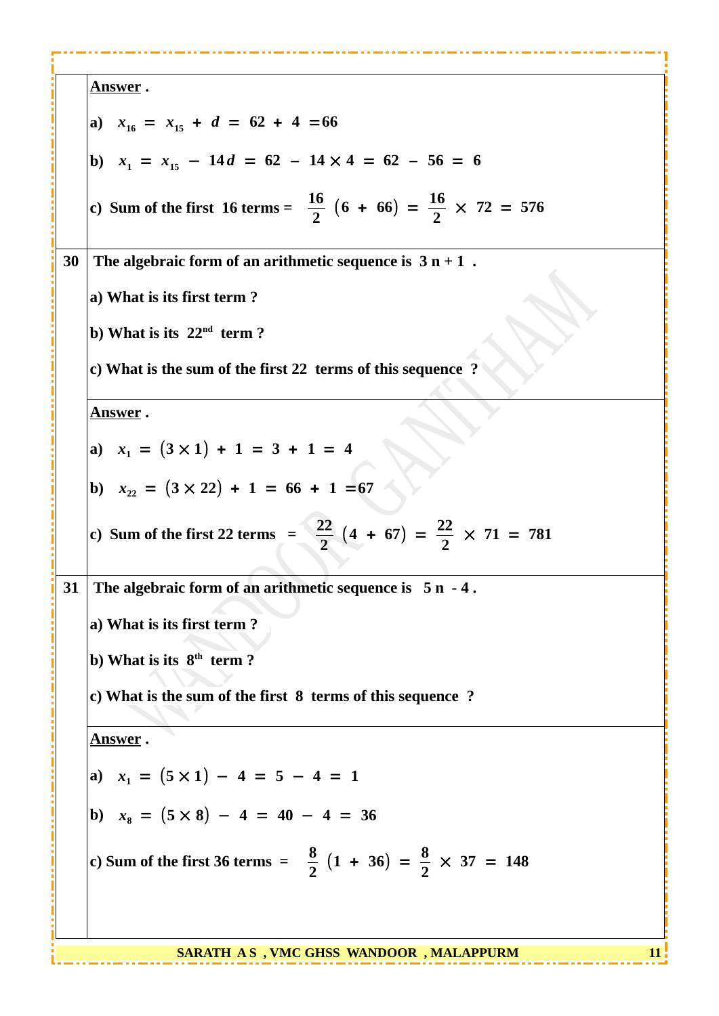| <u>Answer</u> .                                                                           |  |
|-------------------------------------------------------------------------------------------|--|
| a) $x_{16} = x_{15} + d = 62 + 4 = 66$                                                    |  |
| b) $x_1 = x_{15} - 14d = 62 - 14 \times 4 = 62 - 56 = 6$                                  |  |
| c) Sum of the first 16 terms = $\frac{16}{2}$ (6 + 66) = $\frac{16}{2}$ $\times$ 72 = 576 |  |
| The algebraic form of an arithmetic sequence is $3 n + 1$ .<br>30                         |  |
| a) What is its first term?                                                                |  |
| b) What is its $22nd$ term?                                                               |  |
| c) What is the sum of the first 22 terms of this sequence ?                               |  |
| <u>Answer</u> .                                                                           |  |
| a) $x_1 = (3 \times 1) + 1 = 3 + 1 = 4$                                                   |  |
| b) $x_{22} = (3 \times 22) + 1 = 66 + 1 = 67$                                             |  |
| c) Sum of the first 22 terms $=$ $\frac{22}{2}$ $(4 + 67) = \frac{22}{2} \times 71 = 781$ |  |
| The algebraic form of an arithmetic sequence is $5 n - 4$ .<br>31                         |  |
| a) What is its first term?                                                                |  |
| b) What is its $8th$ term?                                                                |  |
| c) What is the sum of the first 8 terms of this sequence ?                                |  |
| <u>Answer</u> .                                                                           |  |
| a) $x_1 = (5 \times 1) - 4 = 5 - 4 = 1$                                                   |  |
| b) $x_8 = (5 \times 8) - 4 = 40 - 4 = 36$                                                 |  |
| c) Sum of the first 36 terms = $\frac{8}{2}$ (1 + 36) = $\frac{8}{2}$ $\times$ 37 = 148   |  |
|                                                                                           |  |

**SARATH AS, VMC GHSS WANDOOR, MALAPPURM 11. 11.**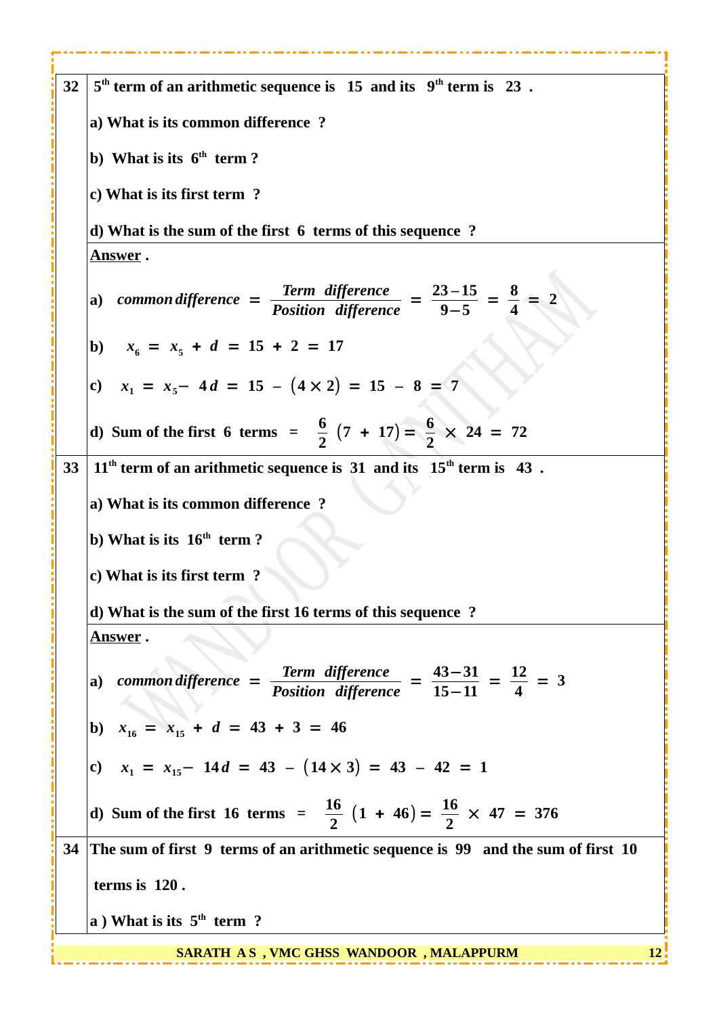| 32 | $5th$ term of an arithmetic sequence is 15 and its $9th$ term is 23.                                                        |
|----|-----------------------------------------------------------------------------------------------------------------------------|
|    | a) What is its common difference?                                                                                           |
|    | b) What is its $6th$ term ?                                                                                                 |
|    | c) What is its first term?                                                                                                  |
|    | d) What is the sum of the first 6 terms of this sequence ?                                                                  |
|    | <u>Answer</u> .                                                                                                             |
|    | a) common difference = $\frac{\text{Term difference}}{\text{Position difference}} = \frac{23-15}{9-5} = \frac{8}{4} = 2$    |
|    | b) $x_6 = x_5 + d = 15 + 2 = 17$                                                                                            |
|    | c) $x_1 = x_5 - 4d = 15 - (4 \times 2) = 15 - 8 = 7$                                                                        |
|    | d) Sum of the first 6 terms = $\frac{6}{2}(7 + 17) = \frac{6}{2} \times 24 = 72$                                            |
| 33 | $11th$ term of an arithmetic sequence is 31 and its $15th$ term is 43.                                                      |
|    | a) What is its common difference?                                                                                           |
|    | b) What is its $16th$ term?                                                                                                 |
|    | c) What is its first term?                                                                                                  |
|    | d) What is the sum of the first 16 terms of this sequence ?                                                                 |
|    | <u>Answer</u> .                                                                                                             |
|    | a) common difference = $\frac{\text{Term difference}}{\text{Position difference}} = \frac{43-31}{15-11} = \frac{12}{4} = 3$ |
|    | b) $x_{16} = x_{15} + d = 43 + 3 = 46$                                                                                      |
|    | c) $x_1 = x_{15} - 14d = 43 - (14 \times 3) = 43 - 42 = 1$                                                                  |
|    | d) Sum of the first 16 terms = $\frac{16}{2}$ $(1 + 46) = \frac{16}{2} \times 47 = 376$                                     |
|    | 34 The sum of first 9 terms of an arithmetic sequence is 99 and the sum of first 10                                         |
|    | terms is 120.                                                                                                               |
|    | a) What is its $5th$ term ?                                                                                                 |
|    | 12<br><b>SARATH AS, VMC GHSS WANDOOR, MALAPPURM</b>                                                                         |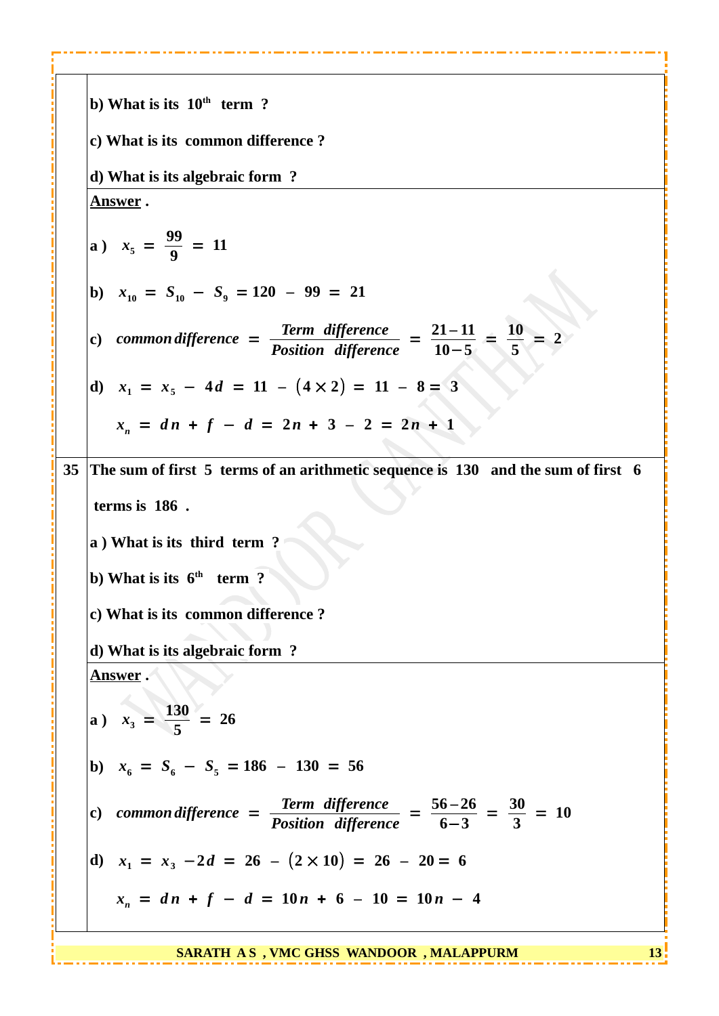**b) What is its 10th term ? c) What is its common difference ? d) What is its algebraic form ? Answer . a**)  $x_5 = \frac{99}{9}$ **9**  $= 11$ **b**)  $x_{10} = S_{10} - S_9 = 120 - 99 = 21$ **c)** *common difference* = *Term difference Position difference* <sup>=</sup> **21** *–* **11 10**−**5** = **10 5**  $= 2$ **d)**  $x_1 = x_5 - 4d = 11 - (4 \times 2) = 11 - 8 = 3$  $x_n = dn + f - d = 2n + 3 - 2 = 2n + 1$ **35 The sum of first 5 terms of an arithmetic sequence is 130 and the sum of first 6 terms is 186 . a ) What is its third term ? b) What is its 6th term ? c) What is its common difference ? d) What is its algebraic form ? Answer . a**)  $x_3 = \frac{130}{5}$ **5**  $= 26$ **b**)  $x_6 = S_6 - S_5 = 186 - 130 = 56$ **c)** *common difference* = *Term difference Position difference* <sup>=</sup> **56** *–* **26 6**−**3** = **30 3**  $= 10$ **d**)  $x_1 = x_3 - 2d = 26 - (2 \times 10) = 26 - 20 = 6$  $x_n = dn + f - d = 10n + 6 - 10 = 10n - 4$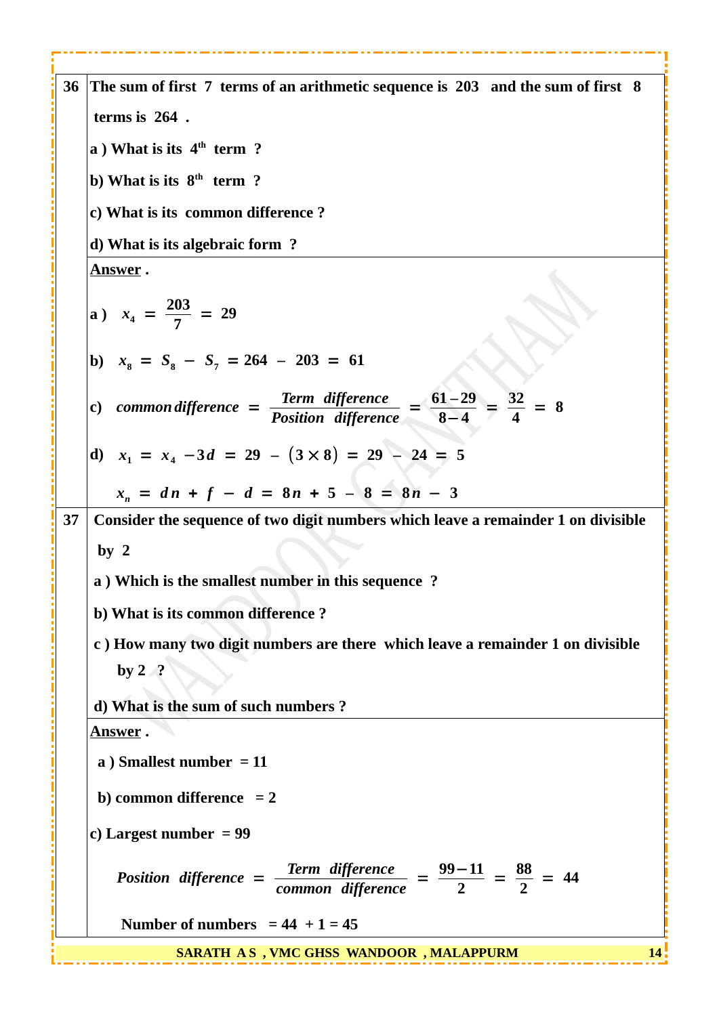| 36 | The sum of first 7 terms of an arithmetic sequence is 203 and the sum of first 8                                          |
|----|---------------------------------------------------------------------------------------------------------------------------|
|    | terms is 264.                                                                                                             |
|    | a) What is its $4th$ term ?                                                                                               |
|    | b) What is its $8th$ term ?                                                                                               |
|    | c) What is its common difference?                                                                                         |
|    | d) What is its algebraic form?                                                                                            |
|    | <u>Answer</u> .                                                                                                           |
|    | a) $x_4 = \frac{203}{7} = 29$                                                                                             |
|    | b) $x_8 = S_8 - S_7 = 264 - 203 = 61$                                                                                     |
|    | c) common difference = $\frac{\text{Term difference}}{\text{Position difference}} = \frac{61-29}{8-4} = \frac{32}{4} = 8$ |
|    | d) $x_1 = x_4 - 3d = 29 - (3 \times 8) = 29 - 24 = 5$                                                                     |
|    | $x_n = dn + f - d = 8n + 5 - 8 = 8n - 3$                                                                                  |
| 37 | Consider the sequence of two digit numbers which leave a remainder 1 on divisible                                         |
|    | by <sub>2</sub>                                                                                                           |
|    | a ) Which is the smallest number in this sequence ?                                                                       |
|    | b) What is its common difference?                                                                                         |
|    | c) How many two digit numbers are there which leave a remainder 1 on divisible                                            |
|    | by $2 \sqrt{?}$                                                                                                           |
|    | d) What is the sum of such numbers?                                                                                       |
|    | <u>Answer</u> .                                                                                                           |
|    | a) Smallest number $= 11$                                                                                                 |
|    | b) common difference $= 2$                                                                                                |
|    | c) Largest number $= 99$                                                                                                  |
|    | Position difference = $\frac{\text{Term difference}}{\text{common difference}} = \frac{99-11}{2} = \frac{88}{2} = 44$     |
|    | Number of numbers = $44 + 1 = 45$                                                                                         |
|    | SARATH AS, VMC GHSS WANDOOR, MALAPPURM<br>14                                                                              |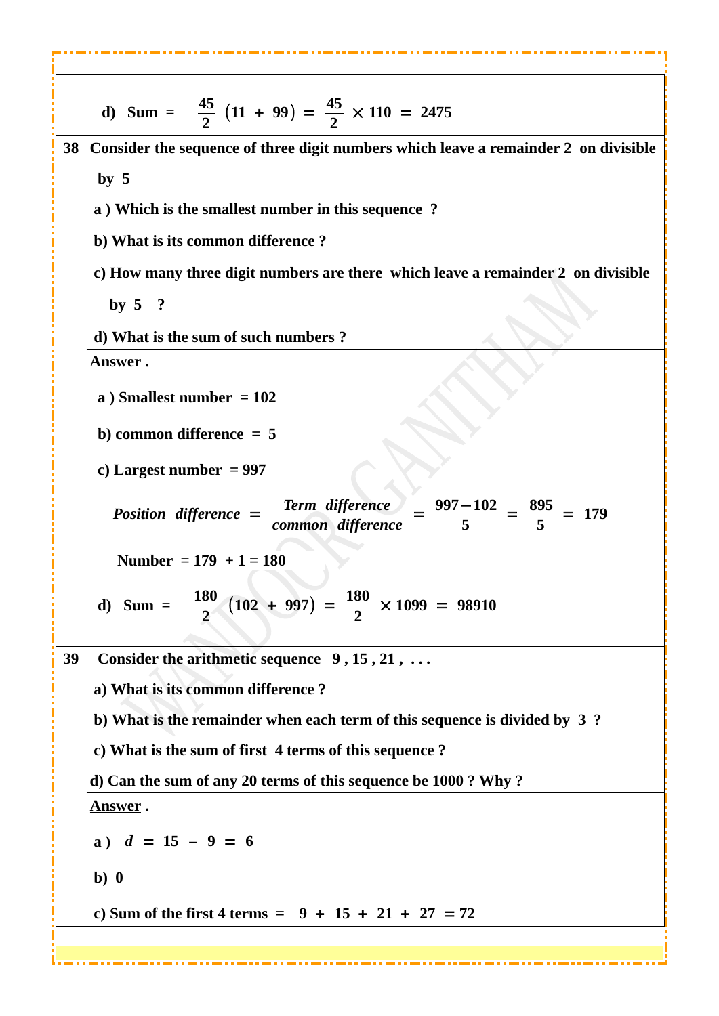| d) Sum = $\frac{45}{2}$ (11 + 99) = $\frac{45}{2}$ × 110 = 2475                                                           |
|---------------------------------------------------------------------------------------------------------------------------|
| 38<br>Consider the sequence of three digit numbers which leave a remainder 2 on divisible                                 |
| by <sub>5</sub>                                                                                                           |
| a ) Which is the smallest number in this sequence ?                                                                       |
| b) What is its common difference?                                                                                         |
| c) How many three digit numbers are there which leave a remainder 2 on divisible                                          |
| by $5 \quad ?$                                                                                                            |
| d) What is the sum of such numbers?                                                                                       |
| <u>Answer</u> .                                                                                                           |
| a) Smallest number $= 102$                                                                                                |
| b) common difference $= 5$                                                                                                |
| c) Largest number $= 997$                                                                                                 |
| Position difference = $\frac{\text{Term difference}}{\text{common difference}} = \frac{997-102}{5} = \frac{895}{5} = 179$ |
| Number = $179 + 1 = 180$                                                                                                  |
| d) Sum = $\frac{180}{2}$ (102 + 997) = $\frac{180}{2}$ × 1099 = 98910                                                     |
| Consider the arithmetic sequence $9, 15, 21, $<br>39                                                                      |
| a) What is its common difference?                                                                                         |
| b) What is the remainder when each term of this sequence is divided by 3?                                                 |
| c) What is the sum of first 4 terms of this sequence ?                                                                    |
| d) Can the sum of any 20 terms of this sequence be 1000 ? Why ?                                                           |
| <u>Answer</u> .                                                                                                           |
| a) $d = 15 - 9 = 6$                                                                                                       |
| $b)$ 0                                                                                                                    |
| c) Sum of the first 4 terms = $9 + 15 + 21 + 27 = 72$                                                                     |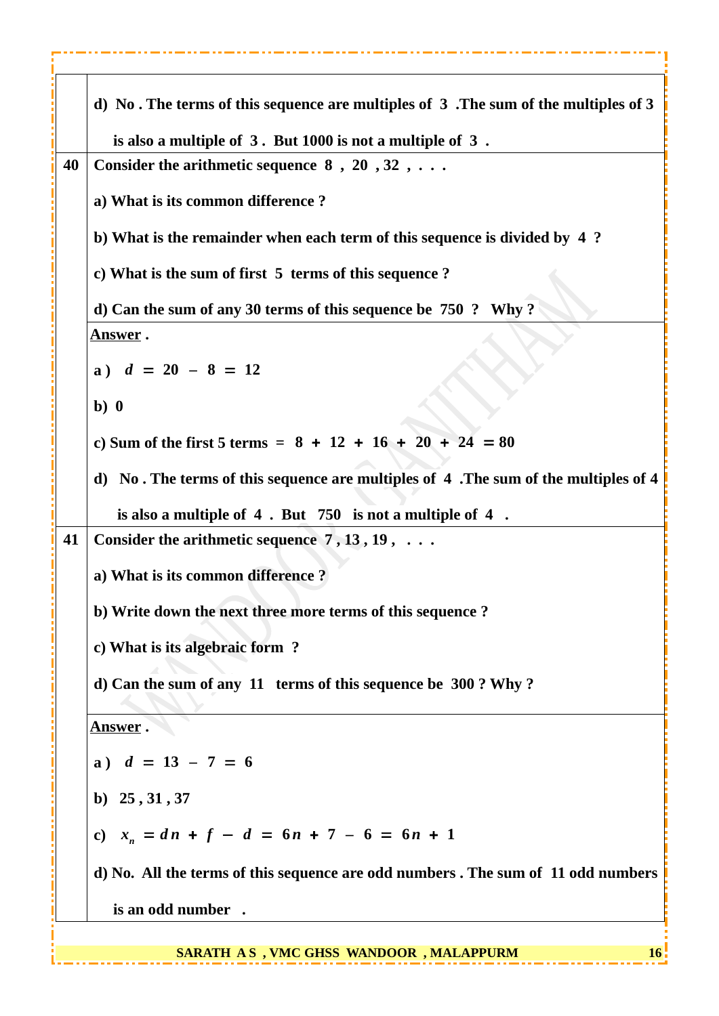|    | d) No. The terms of this sequence are multiples of 3. The sum of the multiples of 3  |
|----|--------------------------------------------------------------------------------------|
|    | is also a multiple of 3. But 1000 is not a multiple of 3.                            |
| 40 | Consider the arithmetic sequence $8, 20, 32, \ldots$                                 |
|    | a) What is its common difference?                                                    |
|    | b) What is the remainder when each term of this sequence is divided by 4?            |
|    | c) What is the sum of first 5 terms of this sequence?                                |
|    | d) Can the sum of any 30 terms of this sequence be 750 ? Why?                        |
|    | <u>Answer</u> .                                                                      |
|    | a) $d = 20 - 8 = 12$                                                                 |
|    | b)0                                                                                  |
|    | c) Sum of the first 5 terms = $8 + 12 + 16 + 20 + 24 = 80$                           |
|    | d) No. The terms of this sequence are multiples of 4 . The sum of the multiples of 4 |
|    | is also a multiple of 4. But 750 is not a multiple of 4.                             |
| 41 | Consider the arithmetic sequence $7, 13, 19, \ldots$                                 |
|    | a) What is its common difference?                                                    |
|    | b) Write down the next three more terms of this sequence?                            |
|    | c) What is its algebraic form ?                                                      |
|    | d) Can the sum of any 11 terms of this sequence be 300 ? Why ?                       |
|    | <u>Answer</u> .                                                                      |
|    | a) $d = 13 - 7 = 6$                                                                  |
|    | b) $25, 31, 37$                                                                      |
|    | c) $x_n = dn + f - d = 6n + 7 - 6 = 6n + 1$                                          |
|    | d) No. All the terms of this sequence are odd numbers . The sum of 11 odd numbers    |
|    | is an odd number.                                                                    |
|    |                                                                                      |

- - - -

- - -

**COL** 

....

Г

 $\sim 0.1$ 

**EXAMPLE 16** SARATH A S, VMC GHSS WANDOOR, MALAPPURM 11 19 16 16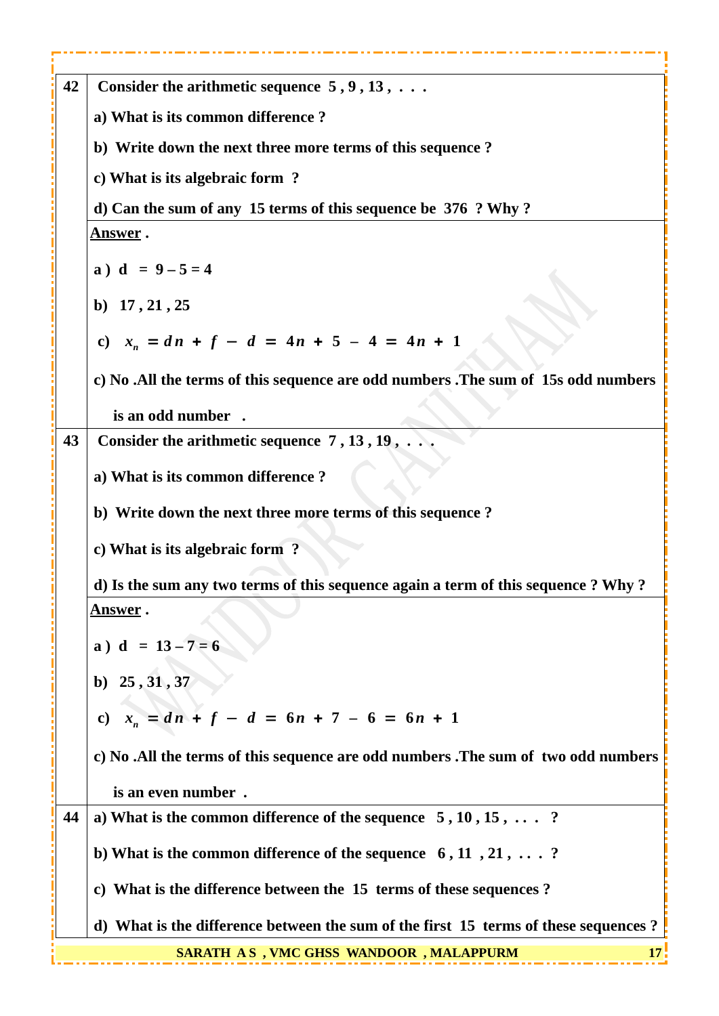| 42 | Consider the arithmetic sequence $5, 9, 13, \ldots$                                 |
|----|-------------------------------------------------------------------------------------|
|    | a) What is its common difference?                                                   |
|    | b) Write down the next three more terms of this sequence?                           |
|    | c) What is its algebraic form ?                                                     |
|    | d) Can the sum of any 15 terms of this sequence be 376 ? Why?                       |
|    | <u>Answer</u> .                                                                     |
|    | a) $d = 9 - 5 = 4$                                                                  |
|    | b) 17, 21, 25                                                                       |
|    | c) $x_n = dn + f - d = 4n + 5 - 4 = 4n + 1$                                         |
|    | c) No .All the terms of this sequence are odd numbers .The sum of 15s odd numbers   |
|    | is an odd number.                                                                   |
| 43 | Consider the arithmetic sequence $7, 13, 19, \ldots$                                |
|    | a) What is its common difference?                                                   |
|    | b) Write down the next three more terms of this sequence?                           |
|    | c) What is its algebraic form ?                                                     |
|    | d) Is the sum any two terms of this sequence again a term of this sequence ? Why ?  |
|    | <u>Answer</u> .                                                                     |
|    | a) $d = 13 - 7 = 6$                                                                 |
|    | b) $25, 31, 37$                                                                     |
|    | c) $x_n = dn + f - d = 6n + 7 - 6 = 6n + 1$                                         |
|    | c) No .All the terms of this sequence are odd numbers .The sum of two odd numbers   |
|    | is an even number.                                                                  |
| 44 | a) What is the common difference of the sequence $5, 10, 15, \ldots$ ?              |
|    | b) What is the common difference of the sequence $6, 11, 21, \ldots$ ?              |
|    | c) What is the difference between the 15 terms of these sequences?                  |
|    | d) What is the difference between the sum of the first 15 terms of these sequences? |
|    | <b>SARATH AS, VMC GHSS WANDOOR, MALAPPURM</b>                                       |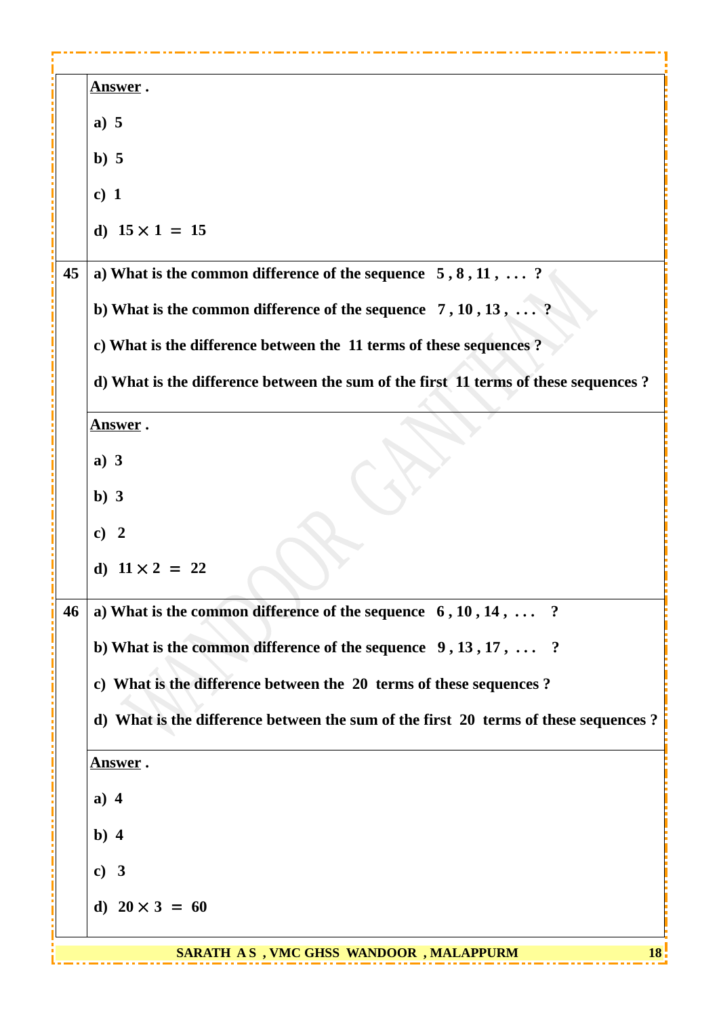|    | <u>Answer</u> .                                                                     |
|----|-------------------------------------------------------------------------------------|
|    | a) 5                                                                                |
|    | b)5                                                                                 |
|    | c) $1$                                                                              |
|    | d) $15 \times 1 = 15$                                                               |
| 45 | a) What is the common difference of the sequence $5, 8, 11, \ldots$ ?               |
|    | b) What is the common difference of the sequence 7, 10, 13, ?                       |
|    | c) What is the difference between the 11 terms of these sequences?                  |
|    | d) What is the difference between the sum of the first 11 terms of these sequences? |
|    | <u>Answer</u> .                                                                     |
|    | a) $3$                                                                              |
|    | $b)$ 3                                                                              |
|    | c) 2                                                                                |
|    | d) $11 \times 2 = 22$                                                               |
| 46 | a) What is the common difference of the sequence $6, 10, 14, \ldots$ ?              |
|    | b) What is the common difference of the sequence $9, 13, 17, \ldots$ ?              |
|    | c) What is the difference between the 20 terms of these sequences ?                 |
|    | d) What is the difference between the sum of the first 20 terms of these sequences? |
|    | <u>Answer</u> .                                                                     |
|    | a) $4$                                                                              |
|    | b) $4$                                                                              |
|    | c) 3                                                                                |
|    | d) $20 \times 3 = 60$                                                               |
|    | <b>SARATH AS, VMC GHSS WANDOOR, MALAPPURM</b><br>18                                 |
|    |                                                                                     |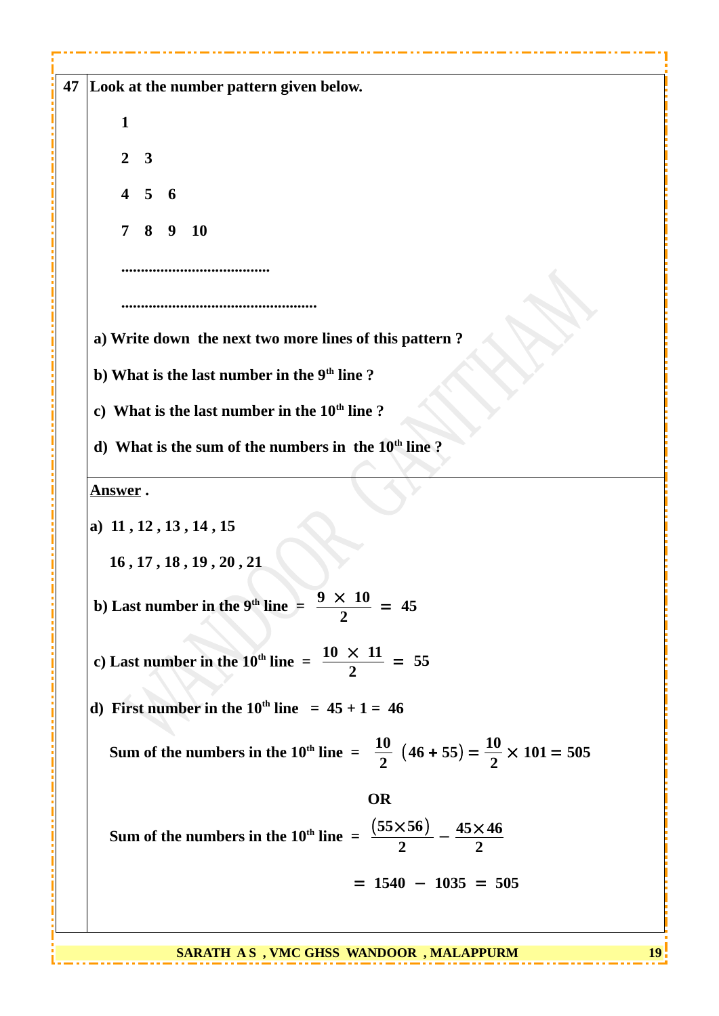|                 | Look at the number pattern given below.                                                                 |  |  |
|-----------------|---------------------------------------------------------------------------------------------------------|--|--|
| $\mathbf{1}$    |                                                                                                         |  |  |
| 2 <sup>1</sup>  | $\overline{\mathbf{3}}$                                                                                 |  |  |
|                 | $4\quad 5$<br>- 6                                                                                       |  |  |
|                 |                                                                                                         |  |  |
|                 | $7\quad 8$<br><b>10</b><br>9                                                                            |  |  |
|                 |                                                                                                         |  |  |
|                 |                                                                                                         |  |  |
|                 | a) Write down the next two more lines of this pattern?                                                  |  |  |
|                 | b) What is the last number in the 9 <sup>th</sup> line?                                                 |  |  |
|                 | c) What is the last number in the 10 <sup>th</sup> line?                                                |  |  |
|                 | d) What is the sum of the numbers in the 10 <sup>th</sup> line?                                         |  |  |
|                 |                                                                                                         |  |  |
| <b>Answer</b> . |                                                                                                         |  |  |
|                 | a) 11, 12, 13, 14, 15                                                                                   |  |  |
|                 | 16, 17, 18, 19, 20, 21                                                                                  |  |  |
|                 | 9<br>$\times$ 10<br>b) Last number in the $9th$ line =<br>$= 45$                                        |  |  |
|                 |                                                                                                         |  |  |
|                 | c) Last number in the 10 <sup>th</sup> line = $\frac{10 \times 11}{2}$ = 55                             |  |  |
|                 |                                                                                                         |  |  |
|                 | d) First number in the $10^{th}$ line = $45 + 1 = 46$                                                   |  |  |
|                 | Sum of the numbers in the 10 <sup>th</sup> line = $\frac{10}{2}$ (46 + 55) = $\frac{10}{2}$ × 101 = 505 |  |  |
|                 | <b>OR</b>                                                                                               |  |  |
|                 |                                                                                                         |  |  |
|                 | Sum of the numbers in the 10 <sup>th</sup> line = $\frac{(55\times56)}{2} - \frac{45\times46}{2}$       |  |  |
|                 | $= 1540 - 1035 = 505$                                                                                   |  |  |
|                 |                                                                                                         |  |  |

**SARATH AS, VMC GHSS WANDOOR, MALAPPURM 19** 

 $\sim 0.1$ - 1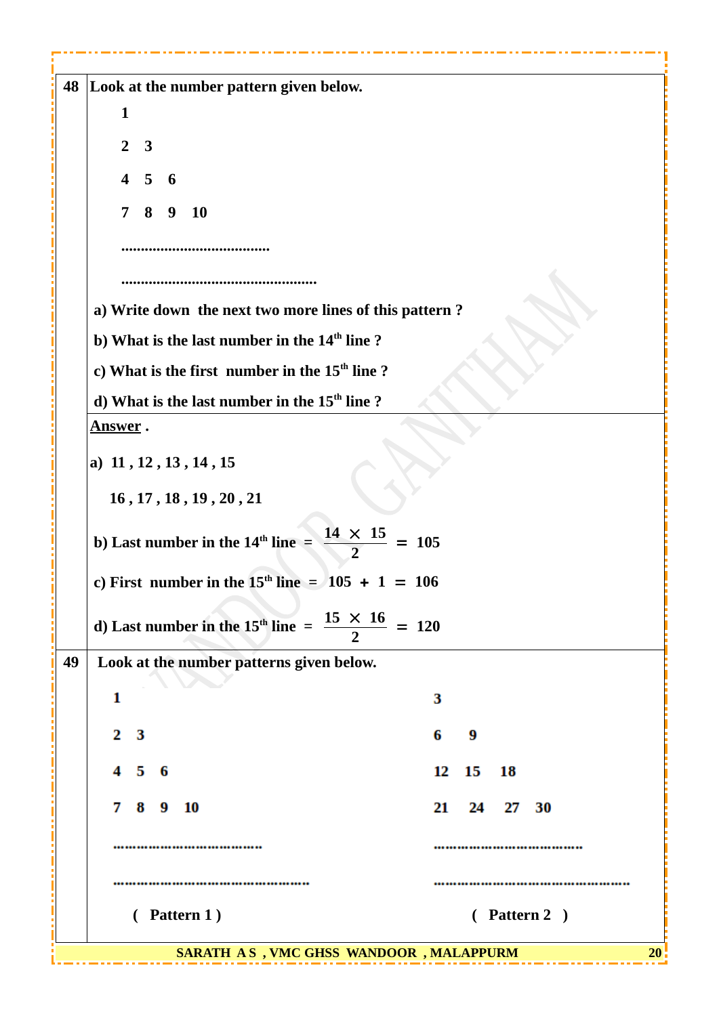| 48 | Look at the number pattern given below.                                      |                |  |  |  |  |
|----|------------------------------------------------------------------------------|----------------|--|--|--|--|
|    | 1                                                                            |                |  |  |  |  |
|    | $2^{\circ}$<br>$\overline{\mathbf{3}}$                                       |                |  |  |  |  |
|    |                                                                              |                |  |  |  |  |
|    | $\overline{\mathbf{4}}$<br>$5\phantom{.0}$<br>- 6                            |                |  |  |  |  |
|    | $7\quad 8$<br><b>10</b><br>9                                                 |                |  |  |  |  |
|    |                                                                              |                |  |  |  |  |
|    |                                                                              |                |  |  |  |  |
|    |                                                                              |                |  |  |  |  |
|    | a) Write down the next two more lines of this pattern?                       |                |  |  |  |  |
|    | b) What is the last number in the 14 <sup>th</sup> line?                     |                |  |  |  |  |
|    | c) What is the first number in the 15 <sup>th</sup> line?                    |                |  |  |  |  |
|    | d) What is the last number in the 15 <sup>th</sup> line?                     |                |  |  |  |  |
|    | <b>Answer</b> .                                                              |                |  |  |  |  |
|    | a) 11, 12, 13, 14, 15                                                        |                |  |  |  |  |
|    | 16, 17, 18, 19, 20, 21                                                       |                |  |  |  |  |
|    | $\frac{14\times 15}{2}$<br>b) Last number in the $14th$ line =               | 105            |  |  |  |  |
|    | c) First number in the $15th$ line = $105 + 1 = 106$                         |                |  |  |  |  |
|    | d) Last number in the 15 <sup>th</sup> line = $\frac{15 \times 16}{2}$ = 120 |                |  |  |  |  |
| 49 | Look at the number patterns given below.                                     |                |  |  |  |  |
|    | 1                                                                            | З              |  |  |  |  |
|    | 2 <sub>3</sub>                                                               | 6<br>9         |  |  |  |  |
|    | $4\quad 5\quad 6$                                                            | 12<br>15<br>18 |  |  |  |  |
|    |                                                                              |                |  |  |  |  |
|    | 78<br>- 9<br>10                                                              | 21<br>24 27 30 |  |  |  |  |
|    |                                                                              |                |  |  |  |  |
|    |                                                                              |                |  |  |  |  |
|    |                                                                              |                |  |  |  |  |
|    | (Pattern 1)                                                                  | (Pattern 2)    |  |  |  |  |
|    |                                                                              |                |  |  |  |  |
|    | SARATH AS, VMC GHSS WANDOOR, MALAPPURM                                       | <b>20</b>      |  |  |  |  |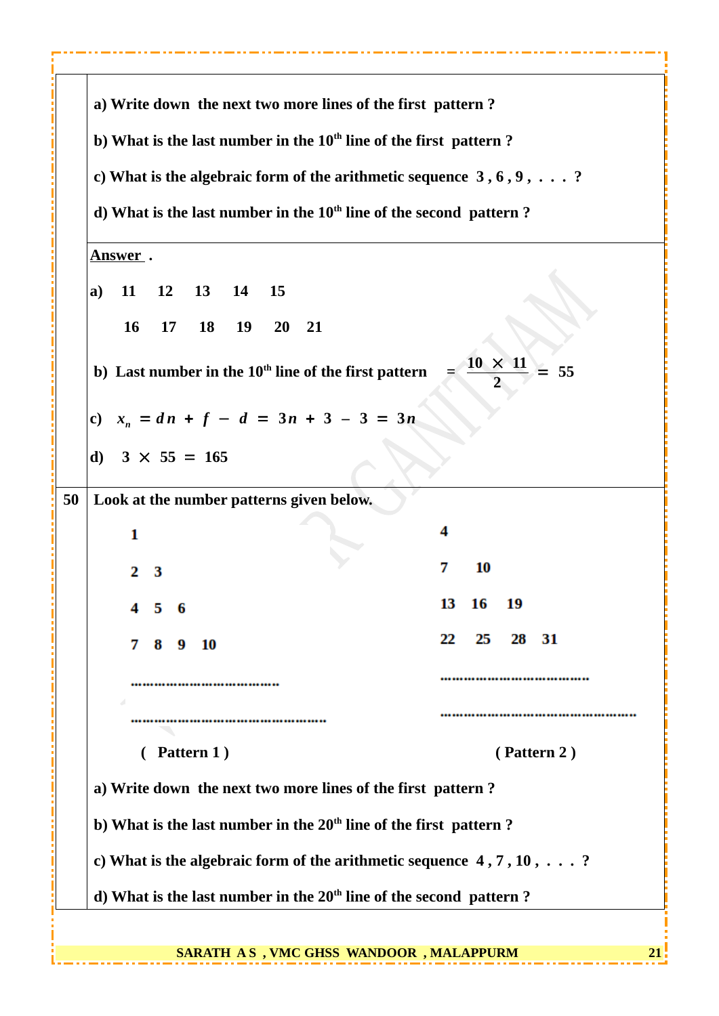**a) Write down the next two more lines of the first pattern ? b) What is the last number in the 10th line of the first pattern ? c) What is the algebraic form of the arithmetic sequence 3 , 6 , 9 , . . . ? d) What is the last number in the 10th line of the second pattern ? Answer . a) 11 12 13 14 15 16 17 18 19 20 21 b)** Last number in the 10<sup>th</sup> line of the first pattern =  $\frac{10 \times 11}{2}$ = **55 2 c)** *x<sup>n</sup>* = *d n* + *f* − *d* = **3***n* + **3** *–* **3** = **3***n* **d) 3** × **55** = **165 50 Look at the number patterns given below.** 4  $\mathbf{1}$ 7 10  $\overline{2}$ 3 13 16 19 5 6 22 25 28 31 Q 10 R ............................ ...............................  **( Pattern 1 ) ( Pattern 2 ) a) Write down the next two more lines of the first pattern ? b) What is the last number in the 20th line of the first pattern ? c) What is the algebraic form of the arithmetic sequence 4 , 7 , 10 , . . . ? d) What is the last number in the 20th line of the second pattern ? SARATH AS, VMC GHSS WANDOOR, MALAPPURM 21**